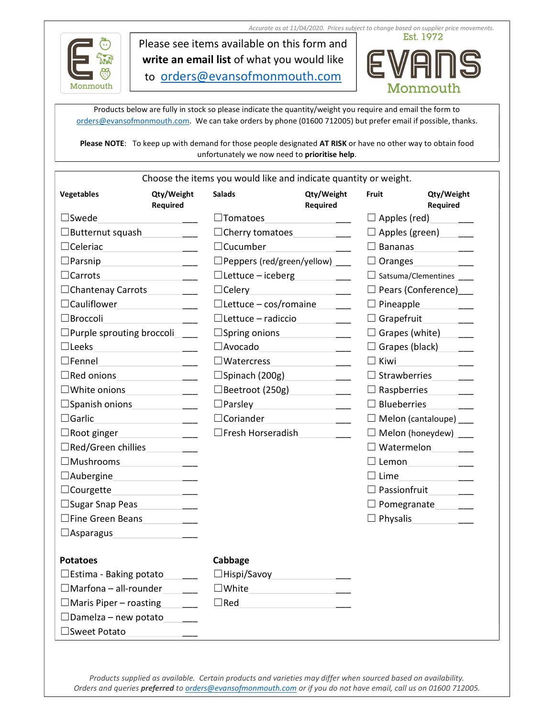



Please see items available on this form and write an email list of what you would like to orders@evansofmonmouth.com



Products below are fully in stock so please indicate the quantity/weight you require and email the form to orders@evansofmonmouth.com. We can take orders by phone (01600 712005) but prefer email if possible, thanks.

Please NOTE: To keep up with demand for those people designated AT RISK or have no other way to obtain food unfortunately we now need to prioritise help.

| Vegetables                            | Qty/Weight<br>Required                                                                                                                                                                                                                                                                                                                                                                                                                                 | <b>Salads</b>      | Qty/Weight<br>Required                                                                                              | Fruit              | Qty/Weight<br>Required                |
|---------------------------------------|--------------------------------------------------------------------------------------------------------------------------------------------------------------------------------------------------------------------------------------------------------------------------------------------------------------------------------------------------------------------------------------------------------------------------------------------------------|--------------------|---------------------------------------------------------------------------------------------------------------------|--------------------|---------------------------------------|
| $\square$ Swede                       | $\label{eq:2.1} \frac{1}{\sqrt{2}}\left(\frac{1}{\sqrt{2}}\right)^{2} \left(\frac{1}{\sqrt{2}}\right)^{2} \left(\frac{1}{\sqrt{2}}\right)^{2} \left(\frac{1}{\sqrt{2}}\right)^{2} \left(\frac{1}{\sqrt{2}}\right)^{2} \left(\frac{1}{\sqrt{2}}\right)^{2} \left(\frac{1}{\sqrt{2}}\right)^{2} \left(\frac{1}{\sqrt{2}}\right)^{2} \left(\frac{1}{\sqrt{2}}\right)^{2} \left(\frac{1}{\sqrt{2}}\right)^{2} \left(\frac{1}{\sqrt{2}}\right)^{2} \left(\$ | $\square$ Tomatoes |                                                                                                                     |                    | $\Box$ Apples (red)                   |
|                                       | $\Box$ Butternut squash                                                                                                                                                                                                                                                                                                                                                                                                                                |                    | $\Box$ Cherry tomatoes $\Box$                                                                                       |                    | $\Box$ Apples (green)                 |
| $\Box$ Celeriac                       | <u> 1980 - Jan Barnett, fransk kongre</u>                                                                                                                                                                                                                                                                                                                                                                                                              | $\Box$ Cucumber    |                                                                                                                     | $\Box$ Bananas     | <u> 1990 - Jan Jawa</u>               |
| $\Box$ Parsnip                        |                                                                                                                                                                                                                                                                                                                                                                                                                                                        |                    | $\Box$ Peppers (red/green/yellow) ____                                                                              | $\Box$ Oranges     |                                       |
| $\Box$ Carrots                        | <u> 1980 - Jan Barnett, martin eta politikar</u>                                                                                                                                                                                                                                                                                                                                                                                                       |                    | $\Box$ Lettuce – iceberg $\Box$                                                                                     |                    | □ Satsuma/Clementines                 |
|                                       | □Chantenay Carrots <u>________</u>                                                                                                                                                                                                                                                                                                                                                                                                                     | $\Box$ Celery      | the control of the control of the                                                                                   |                    | $\Box$ Pears (Conference)             |
| □Cauliflower <u>Univer University</u> |                                                                                                                                                                                                                                                                                                                                                                                                                                                        |                    | $\Box$ Lettuce - cos/romaine _____                                                                                  |                    | $\Box$ Pineapple                      |
| $\Box$ Broccoli                       |                                                                                                                                                                                                                                                                                                                                                                                                                                                        |                    | $\Box$ Lettuce – radiccio                                                                                           |                    | Grapefruit <b>Company</b>             |
|                                       | $\Box$ Purple sprouting broccoli ____                                                                                                                                                                                                                                                                                                                                                                                                                  |                    |                                                                                                                     |                    | $\Box$ Grapes (white)______           |
| $\Box$ Leeks                          | <u> 1989 - Johann Barbara, martin eta </u>                                                                                                                                                                                                                                                                                                                                                                                                             |                    | $\Box$ Avocado                                                                                                      |                    | Grapes (black)                        |
| $\Box$ Fennel                         | the contract of the contract of the contract of                                                                                                                                                                                                                                                                                                                                                                                                        |                    | $\square$ Watercress                                                                                                | $\Box$ Kiwi        |                                       |
|                                       |                                                                                                                                                                                                                                                                                                                                                                                                                                                        |                    | $\square$ Spinach (200g)                                                                                            |                    | $\Box$ Strawberries                   |
|                                       |                                                                                                                                                                                                                                                                                                                                                                                                                                                        |                    | □Beetroot (250g) <u>_________</u>                                                                                   |                    | $\Box$ Raspberries ________           |
|                                       | $\Box$ Spanish onions                                                                                                                                                                                                                                                                                                                                                                                                                                  | $\Box$ Parsley     | <u> 1989 - Johann Stein, mars eta industrial eta industrial eta industrial eta industrial eta industrial eta in</u> | $\Box$ Blueberries |                                       |
| $\Box$ Garlic                         |                                                                                                                                                                                                                                                                                                                                                                                                                                                        |                    |                                                                                                                     |                    | $\Box$ Melon (cantaloupe)             |
|                                       | $\Box$ Root ginger $\Box$                                                                                                                                                                                                                                                                                                                                                                                                                              |                    | $\Box$ Fresh Horseradish                                                                                            |                    | $\Box$ Melon (honeydew)               |
| □Red/Green chillies ________          |                                                                                                                                                                                                                                                                                                                                                                                                                                                        |                    |                                                                                                                     |                    | Watermelon                            |
|                                       | $\square$ Mushrooms $\square$                                                                                                                                                                                                                                                                                                                                                                                                                          |                    |                                                                                                                     |                    | □ Lemon ________________              |
|                                       | $\Box$ Aubergine                                                                                                                                                                                                                                                                                                                                                                                                                                       |                    |                                                                                                                     | $\Box$ Lime        | <u> 1970 - Jan Barnett, ameri</u> kan |
| $\Box$ Courgette                      | <u> 1990 - John Barn Barn, mars and de Barn Barn</u>                                                                                                                                                                                                                                                                                                                                                                                                   |                    |                                                                                                                     |                    | $\Box$ Passionfruit                   |
| □Sugar Snap Peas                      |                                                                                                                                                                                                                                                                                                                                                                                                                                                        |                    |                                                                                                                     |                    | $\Box$ Pomegranate ______             |
| $\square$ Fine Green Beans            |                                                                                                                                                                                                                                                                                                                                                                                                                                                        |                    |                                                                                                                     | $\Box$ Physalis    | <u> 1990 - Jan Jawa</u>               |
| $\Box$ Asparagus                      | <u> 1980 - Jan Barbara Barbara, prima popula</u>                                                                                                                                                                                                                                                                                                                                                                                                       |                    |                                                                                                                     |                    |                                       |
| <b>Potatoes</b>                       |                                                                                                                                                                                                                                                                                                                                                                                                                                                        | Cabbage            |                                                                                                                     |                    |                                       |
| $\Box$ Estima - Baking potato         |                                                                                                                                                                                                                                                                                                                                                                                                                                                        | $\Box$ Hispi/Savoy |                                                                                                                     |                    |                                       |
| $\Box$ Marfona – all-rounder          |                                                                                                                                                                                                                                                                                                                                                                                                                                                        | $\square$ White    |                                                                                                                     |                    |                                       |
| $\Box$ Maris Piper – roasting         |                                                                                                                                                                                                                                                                                                                                                                                                                                                        | $\Box$ Red         |                                                                                                                     |                    |                                       |
| $\Box$ Damelza – new potato           |                                                                                                                                                                                                                                                                                                                                                                                                                                                        |                    |                                                                                                                     |                    |                                       |
| □Sweet Potato                         |                                                                                                                                                                                                                                                                                                                                                                                                                                                        |                    |                                                                                                                     |                    |                                       |

Products supplied as available. Certain products and varieties may differ when sourced based on availability. Orders and queries *preferred* to *orders@evansofmonmouth.com* or if you do not have email, call us on 01600 712005.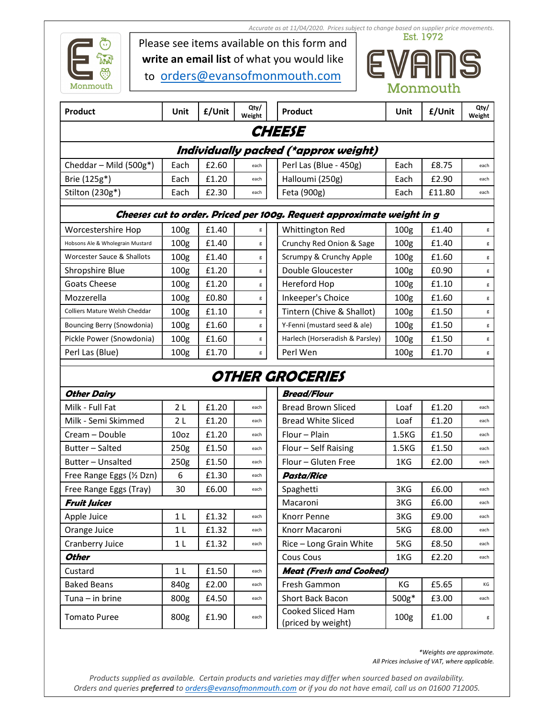

Accurate as at 11/04/2020. Prices subject to change based on supplier price movements.

Please see items available on this form and write an email list of what you would like

to orders@evansofmonmouth.com



| Product                   | Unit | £/Unit | Qty/<br>Weight | Product                                                                | Unit | £/Unit | Qty/<br>Weight |
|---------------------------|------|--------|----------------|------------------------------------------------------------------------|------|--------|----------------|
|                           |      |        |                | <b>CHEESE</b>                                                          |      |        |                |
|                           |      |        |                | Individually packed (*approx weight)                                   |      |        |                |
| Cheddar – Mild $(500g^*)$ | Each | £2.60  | each           | Perl Las (Blue - 450g)                                                 | Each | £8.75  | each           |
| Brie (125g*)              | Each | £1.20  | each           | Halloumi (250g)                                                        | Each | £2.90  | each           |
| Stilton (230g*)           | Each | £2.30  | each           | Feta (900g)                                                            | Each | £11.80 | each           |
|                           |      |        |                | Cheeses cut to order. Priced per 100g. Request approximate weight in g |      |        |                |

| 100 <sub>g</sub> | £1.40 | g |
|------------------|-------|---|
| 100 <sub>g</sub> | £1.40 | g |
| 100 <sub>g</sub> | £1.40 | g |
| 100 <sub>g</sub> | £1.20 | g |
| 100 <sub>g</sub> | £1.20 | g |
| 100 <sub>g</sub> | £0.80 | g |
| 100 <sub>g</sub> | £1.10 | g |
| 100 <sub>g</sub> | £1.60 | g |
| 100 <sub>g</sub> | £1.60 | g |
| 100 <sub>g</sub> | £1.70 | g |
|                  |       |   |

| Worcestershire Hop               | 100 <sub>g</sub> | £1.40 | g | Whittington Red                 | 100 <sub>g</sub> | £1.40 | g |
|----------------------------------|------------------|-------|---|---------------------------------|------------------|-------|---|
| Hobsons Ale & Wholegrain Mustard | 100 <sub>g</sub> | £1.40 | g | Crunchy Red Onion & Sage        | 100 <sub>g</sub> | £1.40 | g |
| Worcester Sauce & Shallots       | 100 <sub>g</sub> | £1.40 | g | Scrumpy & Crunchy Apple         | 100 <sub>g</sub> | £1.60 | g |
| Shropshire Blue                  | 100 <sub>g</sub> | £1.20 | g | Double Gloucester               | 100 <sub>g</sub> | £0.90 | g |
| Goats Cheese                     | 100 <sub>g</sub> | £1.20 | g | Hereford Hop                    | 100 <sub>g</sub> | £1.10 | g |
| Mozzerella                       | 100 <sub>g</sub> | £0.80 | g | Inkeeper's Choice               | 100 <sub>g</sub> | £1.60 | g |
| Colliers Mature Welsh Cheddar    | 100 <sub>g</sub> | £1.10 | g | Tintern (Chive & Shallot)       | 100 <sub>g</sub> | £1.50 | g |
| Bouncing Berry (Snowdonia)       | 100 <sub>g</sub> | £1.60 | g | Y-Fenni (mustard seed & ale)    | 100 <sub>g</sub> | £1.50 | g |
| Pickle Power (Snowdonia)         | 100 <sub>g</sub> | £1.60 | g | Harlech (Horseradish & Parsley) | 100 <sub>g</sub> | £1.50 | g |
| Perl Las (Blue)                  | 100 <sub>g</sub> | £1.70 | g | Perl Wen                        | 100 <sub>g</sub> | £1.70 | g |
|                                  |                  |       |   |                                 |                  |       |   |

## OTHER GROCERIES

| Other Dairy               |                  |       |      | <b>Bread/Flour</b>                      |
|---------------------------|------------------|-------|------|-----------------------------------------|
| Milk - Full Fat           | 2 <sub>L</sub>   | £1.20 | each | <b>Bread Brown Sliced</b>               |
| Milk - Semi Skimmed       | 2 L              | £1.20 | each | <b>Bread White Sliced</b>               |
| Cream – Double            | 10 <sub>oz</sub> | £1.20 | each | Flour - Plain                           |
| Butter - Salted           | 250g             | £1.50 | each | Flour – Self Raising                    |
| Butter - Unsalted         | 250g             | £1.50 | each | Flour - Gluten Free                     |
| Free Range Eggs (1/2 Dzn) | 6                | £1.30 | each | Pasta/Rice                              |
| Free Range Eggs (Tray)    | 30               | £6.00 | each | Spaghetti                               |
| Fruit Juices              |                  |       |      | Macaroni                                |
| Apple Juice               | 1 <sub>L</sub>   | £1.32 | each | Knorr Penne                             |
| Orange Juice              | 1 L              | £1.32 | each | Knorr Macaroni                          |
| Cranberry Juice           | 1 L              | £1.32 | each | Rice - Long Grain White                 |
| Other                     |                  |       |      | <b>Cous Cous</b>                        |
| Custard                   | 1 <sub>L</sub>   | £1.50 | each | <b>Meat (Fresh and Cooked)</b>          |
| <b>Baked Beans</b>        | 840g             | £2.00 | each | Fresh Gammon                            |
| Tuna - in brine           | 800 <sub>g</sub> | £4.50 | each | <b>Short Back Bacon</b>                 |
| <b>Tomato Puree</b>       | 800 <sub>g</sub> | £1.90 | each | Cooked Sliced Ham<br>(priced by weight) |

| <b>Other Dairy</b>                            |                  |                   |                   | Bread/Flour                             |                  |       |      |  |
|-----------------------------------------------|------------------|-------------------|-------------------|-----------------------------------------|------------------|-------|------|--|
| Milk - Full Fat                               | 2L               | £1.20             | each              | <b>Bread Brown Sliced</b>               | Loaf             | £1.20 | each |  |
| Milk - Semi Skimmed                           | 2L               | £1.20             | each              | <b>Bread White Sliced</b>               | Loaf             | £1.20 | each |  |
| Cream – Double                                | 10oz             | £1.20             | each              | Flour - Plain                           | 1.5 <sub>K</sub> | £1.50 | each |  |
| Butter – Salted                               | 250 <sub>g</sub> | £1.50             | each              | Flour - Self Raising                    | 1.5 <sub>K</sub> | £1.50 | each |  |
| Butter - Unsalted                             | 250g             | £1.50             | each              | Flour - Gluten Free                     | 1KG              | £2.00 | each |  |
| £1.30<br>Free Range Eggs (½ Dzn)<br>6<br>each |                  | <b>Pasta/Rice</b> |                   |                                         |                  |       |      |  |
| Free Range Eggs (Tray)                        | 30               | £6.00             | Spaghetti<br>each |                                         | 3KG              | £6.00 | each |  |
| Fruit Juices                                  |                  |                   |                   | Macaroni                                | 3KG              | £6.00 | each |  |
| Apple Juice                                   | 1 <sub>L</sub>   | £1.32             | each              | Knorr Penne                             | 3KG              | £9.00 | each |  |
| Orange Juice                                  | 1 <sub>L</sub>   | £1.32             | each              | Knorr Macaroni                          | 5KG              | £8.00 | each |  |
| Cranberry Juice                               | 1 L              | £1.32             | each              | Rice - Long Grain White                 | 5KG              | £8.50 | each |  |
| Other                                         |                  |                   |                   | Cous Cous                               | 1KG              | £2.20 | each |  |
| Custard                                       | 1 <sub>L</sub>   | £1.50             | each              | <b>Meat (Fresh and Cooked)</b>          |                  |       |      |  |
| <b>Baked Beans</b>                            | 840g             | £2.00             | each              | Fresh Gammon                            | KG               | £5.65 | KG   |  |
| Tuna – in brine                               | 800 <sub>g</sub> | £4.50             | each              | <b>Short Back Bacon</b>                 |                  | £3.00 | each |  |
| Tomato Puree                                  | 800 <sub>g</sub> | £1.90             | each              | Cooked Sliced Ham<br>(priced by weight) | 100 <sub>g</sub> | £1.00 | g    |  |

\*Weights are approximate. All Prices inclusive of VAT, where applicable.

Products supplied as available. Certain products and varieties may differ when sourced based on availability. Orders and queries *preferred* to *orders@evansofmonmouth.com* or if you do not have email, call us on 01600 712005.